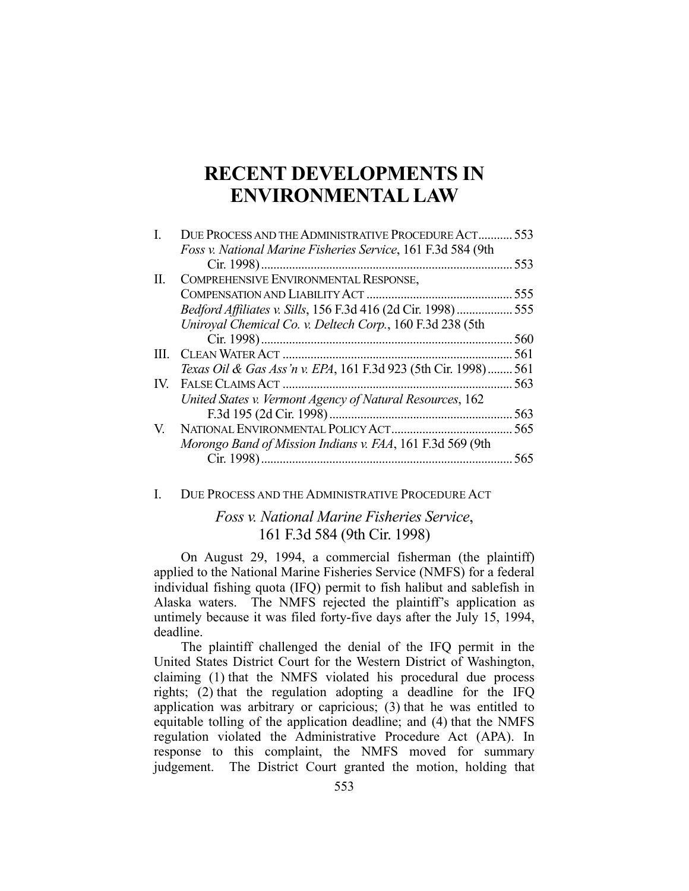# **RECENT DEVELOPMENTS IN ENVIRONMENTAL LAW**

| 553<br>555                                                        |
|-------------------------------------------------------------------|
|                                                                   |
|                                                                   |
|                                                                   |
|                                                                   |
| Bedford Affiliates v. Sills, 156 F.3d 416 (2d Cir. 1998)  555     |
|                                                                   |
| 560                                                               |
| 561                                                               |
| Texas Oil & Gas Ass'n v. EPA, 161 F.3d 923 (5th Cir. 1998)<br>561 |
| 563                                                               |
|                                                                   |
| 565                                                               |
|                                                                   |
| 565                                                               |
|                                                                   |

#### I. DUE PROCESS AND THE ADMINISTRATIVE PROCEDURE ACT

# *Foss v. National Marine Fisheries Service*, 161 F.3d 584 (9th Cir. 1998)

 On August 29, 1994, a commercial fisherman (the plaintiff) applied to the National Marine Fisheries Service (NMFS) for a federal individual fishing quota (IFQ) permit to fish halibut and sablefish in Alaska waters. The NMFS rejected the plaintiff's application as untimely because it was filed forty-five days after the July 15, 1994, deadline.

 The plaintiff challenged the denial of the IFQ permit in the United States District Court for the Western District of Washington, claiming (1) that the NMFS violated his procedural due process rights; (2) that the regulation adopting a deadline for the IFQ application was arbitrary or capricious; (3) that he was entitled to equitable tolling of the application deadline; and (4) that the NMFS regulation violated the Administrative Procedure Act (APA). In response to this complaint, the NMFS moved for summary judgement. The District Court granted the motion, holding that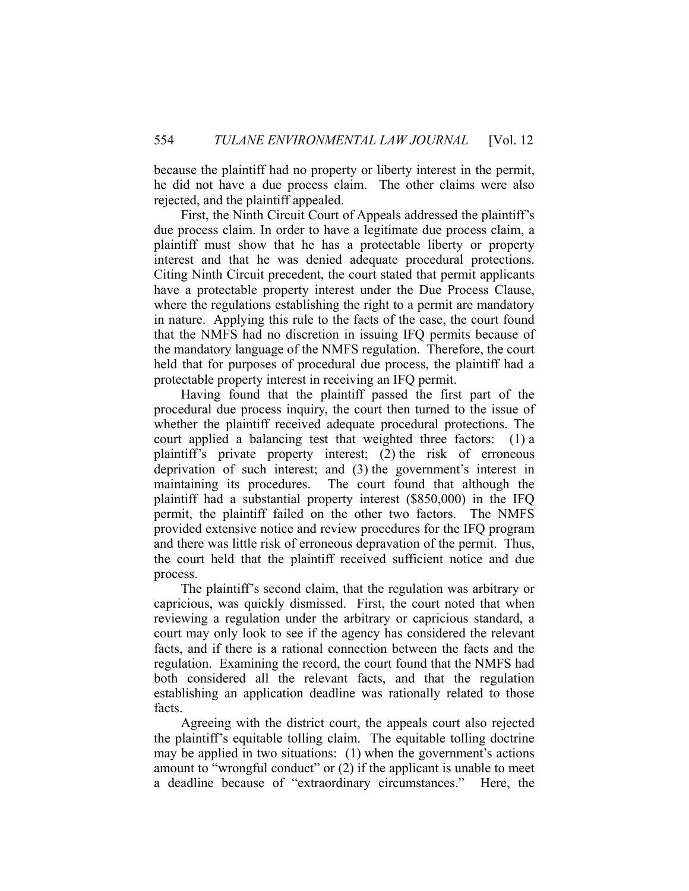because the plaintiff had no property or liberty interest in the permit, he did not have a due process claim. The other claims were also rejected, and the plaintiff appealed.

 First, the Ninth Circuit Court of Appeals addressed the plaintiff's due process claim. In order to have a legitimate due process claim, a plaintiff must show that he has a protectable liberty or property interest and that he was denied adequate procedural protections. Citing Ninth Circuit precedent, the court stated that permit applicants have a protectable property interest under the Due Process Clause, where the regulations establishing the right to a permit are mandatory in nature. Applying this rule to the facts of the case, the court found that the NMFS had no discretion in issuing IFQ permits because of the mandatory language of the NMFS regulation. Therefore, the court held that for purposes of procedural due process, the plaintiff had a protectable property interest in receiving an IFQ permit.

 Having found that the plaintiff passed the first part of the procedural due process inquiry, the court then turned to the issue of whether the plaintiff received adequate procedural protections. The court applied a balancing test that weighted three factors: (1) a plaintiff's private property interest; (2) the risk of erroneous deprivation of such interest; and (3) the government's interest in maintaining its procedures. The court found that although the plaintiff had a substantial property interest (\$850,000) in the IFQ permit, the plaintiff failed on the other two factors. The NMFS provided extensive notice and review procedures for the IFQ program and there was little risk of erroneous depravation of the permit. Thus, the court held that the plaintiff received sufficient notice and due process.

 The plaintiff's second claim, that the regulation was arbitrary or capricious, was quickly dismissed. First, the court noted that when reviewing a regulation under the arbitrary or capricious standard, a court may only look to see if the agency has considered the relevant facts, and if there is a rational connection between the facts and the regulation. Examining the record, the court found that the NMFS had both considered all the relevant facts, and that the regulation establishing an application deadline was rationally related to those facts.

 Agreeing with the district court, the appeals court also rejected the plaintiff's equitable tolling claim. The equitable tolling doctrine may be applied in two situations: (1) when the government's actions amount to "wrongful conduct" or (2) if the applicant is unable to meet a deadline because of "extraordinary circumstances." Here, the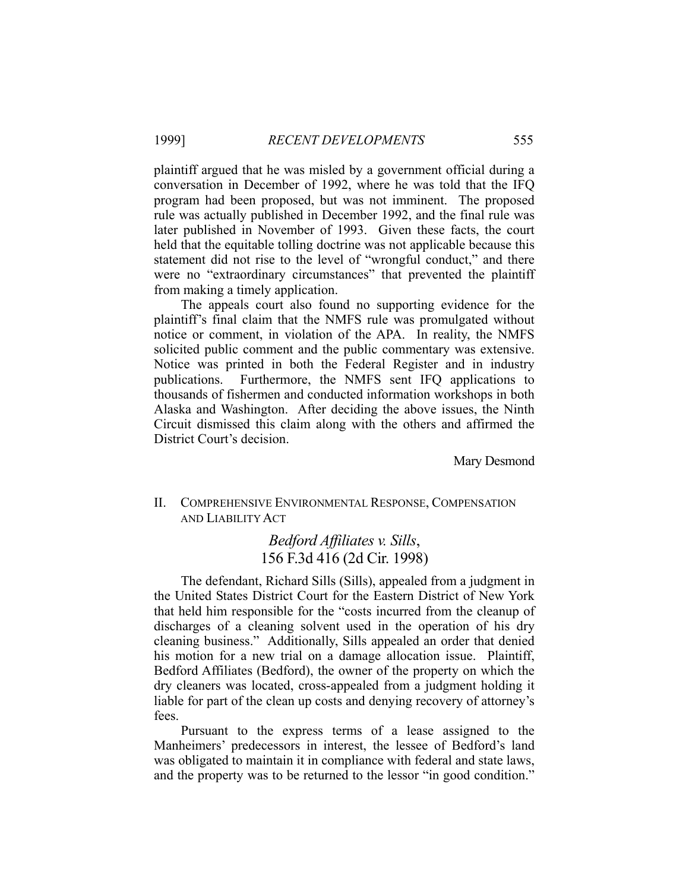plaintiff argued that he was misled by a government official during a conversation in December of 1992, where he was told that the IFQ program had been proposed, but was not imminent. The proposed rule was actually published in December 1992, and the final rule was later published in November of 1993. Given these facts, the court held that the equitable tolling doctrine was not applicable because this statement did not rise to the level of "wrongful conduct," and there were no "extraordinary circumstances" that prevented the plaintiff from making a timely application.

 The appeals court also found no supporting evidence for the plaintiff's final claim that the NMFS rule was promulgated without notice or comment, in violation of the APA. In reality, the NMFS solicited public comment and the public commentary was extensive. Notice was printed in both the Federal Register and in industry publications. Furthermore, the NMFS sent IFQ applications to thousands of fishermen and conducted information workshops in both Alaska and Washington. After deciding the above issues, the Ninth Circuit dismissed this claim along with the others and affirmed the District Court's decision.

Mary Desmond

## II. COMPREHENSIVE ENVIRONMENTAL RESPONSE, COMPENSATION AND LIABILITY ACT

# *Bedford Affiliates v. Sills*, 156 F.3d 416 (2d Cir. 1998)

 The defendant, Richard Sills (Sills), appealed from a judgment in the United States District Court for the Eastern District of New York that held him responsible for the "costs incurred from the cleanup of discharges of a cleaning solvent used in the operation of his dry cleaning business." Additionally, Sills appealed an order that denied his motion for a new trial on a damage allocation issue. Plaintiff, Bedford Affiliates (Bedford), the owner of the property on which the dry cleaners was located, cross-appealed from a judgment holding it liable for part of the clean up costs and denying recovery of attorney's fees.

 Pursuant to the express terms of a lease assigned to the Manheimers' predecessors in interest, the lessee of Bedford's land was obligated to maintain it in compliance with federal and state laws, and the property was to be returned to the lessor "in good condition."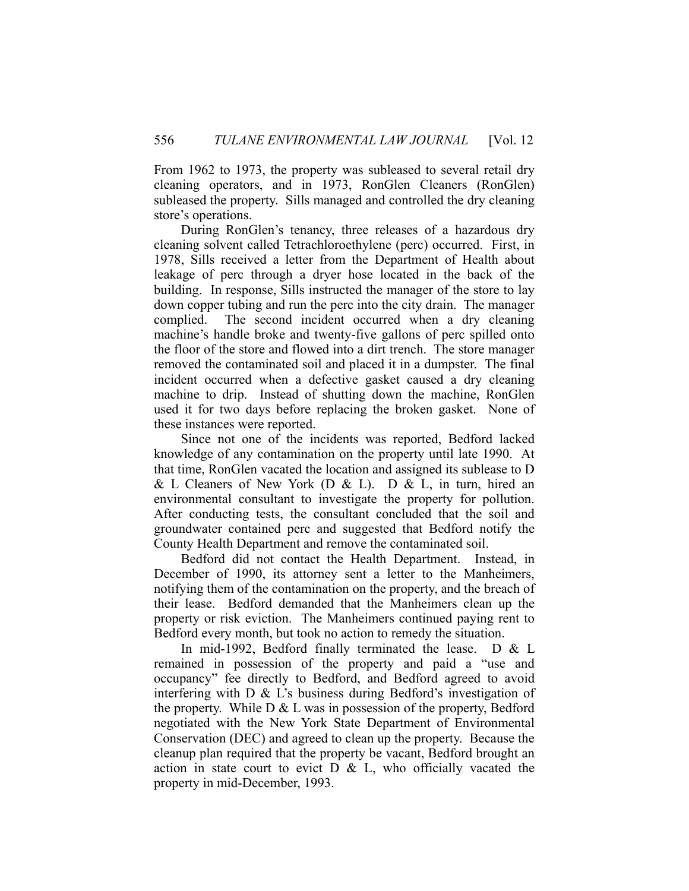From 1962 to 1973, the property was subleased to several retail dry cleaning operators, and in 1973, RonGlen Cleaners (RonGlen) subleased the property. Sills managed and controlled the dry cleaning store's operations.

 During RonGlen's tenancy, three releases of a hazardous dry cleaning solvent called Tetrachloroethylene (perc) occurred. First, in 1978, Sills received a letter from the Department of Health about leakage of perc through a dryer hose located in the back of the building. In response, Sills instructed the manager of the store to lay down copper tubing and run the perc into the city drain. The manager complied. The second incident occurred when a dry cleaning machine's handle broke and twenty-five gallons of perc spilled onto the floor of the store and flowed into a dirt trench. The store manager removed the contaminated soil and placed it in a dumpster. The final incident occurred when a defective gasket caused a dry cleaning machine to drip. Instead of shutting down the machine, RonGlen used it for two days before replacing the broken gasket. None of these instances were reported.

 Since not one of the incidents was reported, Bedford lacked knowledge of any contamination on the property until late 1990. At that time, RonGlen vacated the location and assigned its sublease to D & L Cleaners of New York (D & L). D & L, in turn, hired an environmental consultant to investigate the property for pollution. After conducting tests, the consultant concluded that the soil and groundwater contained perc and suggested that Bedford notify the County Health Department and remove the contaminated soil.

 Bedford did not contact the Health Department. Instead, in December of 1990, its attorney sent a letter to the Manheimers, notifying them of the contamination on the property, and the breach of their lease. Bedford demanded that the Manheimers clean up the property or risk eviction. The Manheimers continued paying rent to Bedford every month, but took no action to remedy the situation.

 In mid-1992, Bedford finally terminated the lease. D & L remained in possession of the property and paid a "use and occupancy" fee directly to Bedford, and Bedford agreed to avoid interfering with D & L's business during Bedford's investigation of the property. While  $D \& L$  was in possession of the property, Bedford negotiated with the New York State Department of Environmental Conservation (DEC) and agreed to clean up the property. Because the cleanup plan required that the property be vacant, Bedford brought an action in state court to evict  $D \& L$ , who officially vacated the property in mid-December, 1993.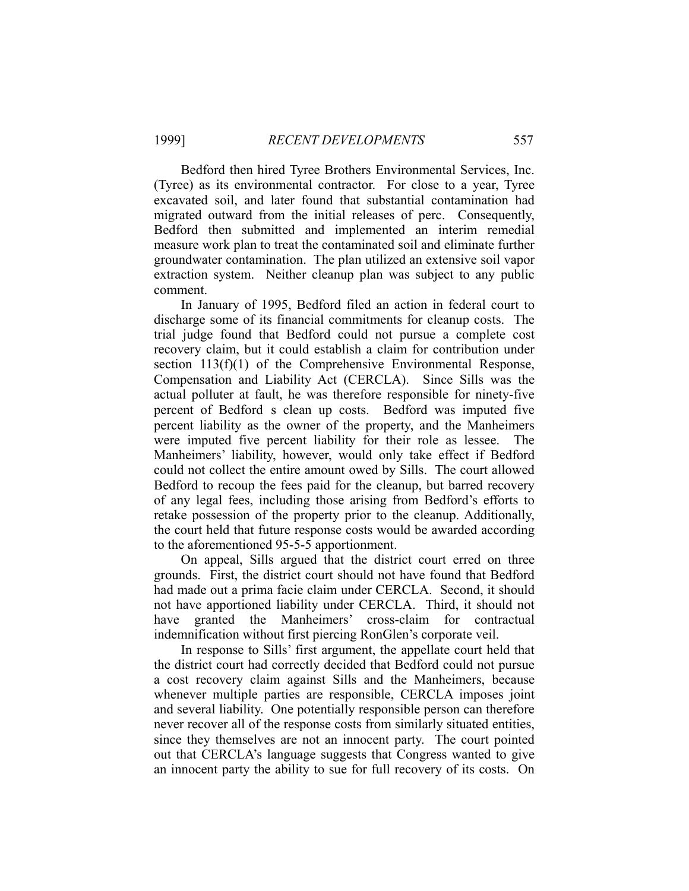Bedford then hired Tyree Brothers Environmental Services, Inc. (Tyree) as its environmental contractor. For close to a year, Tyree excavated soil, and later found that substantial contamination had migrated outward from the initial releases of perc. Consequently, Bedford then submitted and implemented an interim remedial measure work plan to treat the contaminated soil and eliminate further groundwater contamination. The plan utilized an extensive soil vapor extraction system. Neither cleanup plan was subject to any public comment.

 In January of 1995, Bedford filed an action in federal court to discharge some of its financial commitments for cleanup costs. The trial judge found that Bedford could not pursue a complete cost recovery claim, but it could establish a claim for contribution under section 113(f)(1) of the Comprehensive Environmental Response, Compensation and Liability Act (CERCLA). Since Sills was the actual polluter at fault, he was therefore responsible for ninety-five percent of Bedford s clean up costs. Bedford was imputed five percent liability as the owner of the property, and the Manheimers were imputed five percent liability for their role as lessee. The Manheimers' liability, however, would only take effect if Bedford could not collect the entire amount owed by Sills. The court allowed Bedford to recoup the fees paid for the cleanup, but barred recovery of any legal fees, including those arising from Bedford's efforts to retake possession of the property prior to the cleanup. Additionally, the court held that future response costs would be awarded according to the aforementioned 95-5-5 apportionment.

 On appeal, Sills argued that the district court erred on three grounds. First, the district court should not have found that Bedford had made out a prima facie claim under CERCLA. Second, it should not have apportioned liability under CERCLA. Third, it should not have granted the Manheimers' cross-claim for contractual indemnification without first piercing RonGlen's corporate veil.

 In response to Sills' first argument, the appellate court held that the district court had correctly decided that Bedford could not pursue a cost recovery claim against Sills and the Manheimers, because whenever multiple parties are responsible, CERCLA imposes joint and several liability. One potentially responsible person can therefore never recover all of the response costs from similarly situated entities, since they themselves are not an innocent party. The court pointed out that CERCLA's language suggests that Congress wanted to give an innocent party the ability to sue for full recovery of its costs. On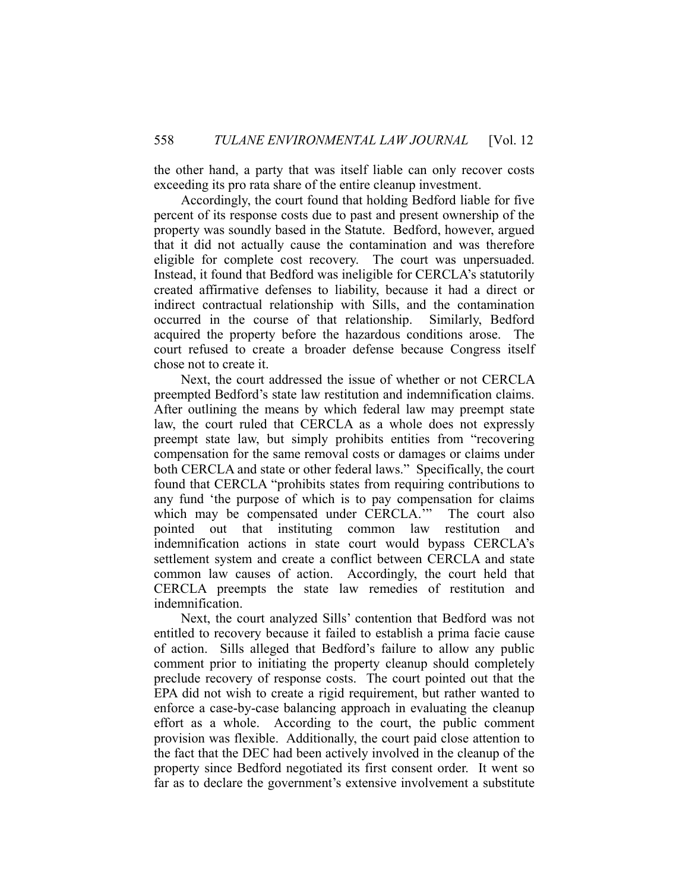the other hand, a party that was itself liable can only recover costs exceeding its pro rata share of the entire cleanup investment.

 Accordingly, the court found that holding Bedford liable for five percent of its response costs due to past and present ownership of the property was soundly based in the Statute. Bedford, however, argued that it did not actually cause the contamination and was therefore eligible for complete cost recovery. The court was unpersuaded. Instead, it found that Bedford was ineligible for CERCLA's statutorily created affirmative defenses to liability, because it had a direct or indirect contractual relationship with Sills, and the contamination occurred in the course of that relationship. Similarly, Bedford acquired the property before the hazardous conditions arose. The court refused to create a broader defense because Congress itself chose not to create it.

 Next, the court addressed the issue of whether or not CERCLA preempted Bedford's state law restitution and indemnification claims. After outlining the means by which federal law may preempt state law, the court ruled that CERCLA as a whole does not expressly preempt state law, but simply prohibits entities from "recovering compensation for the same removal costs or damages or claims under both CERCLA and state or other federal laws." Specifically, the court found that CERCLA "prohibits states from requiring contributions to any fund 'the purpose of which is to pay compensation for claims which may be compensated under CERCLA." The court also pointed out that instituting common law restitution and indemnification actions in state court would bypass CERCLA's settlement system and create a conflict between CERCLA and state common law causes of action. Accordingly, the court held that CERCLA preempts the state law remedies of restitution and indemnification.

 Next, the court analyzed Sills' contention that Bedford was not entitled to recovery because it failed to establish a prima facie cause of action. Sills alleged that Bedford's failure to allow any public comment prior to initiating the property cleanup should completely preclude recovery of response costs. The court pointed out that the EPA did not wish to create a rigid requirement, but rather wanted to enforce a case-by-case balancing approach in evaluating the cleanup effort as a whole. According to the court, the public comment provision was flexible. Additionally, the court paid close attention to the fact that the DEC had been actively involved in the cleanup of the property since Bedford negotiated its first consent order. It went so far as to declare the government's extensive involvement a substitute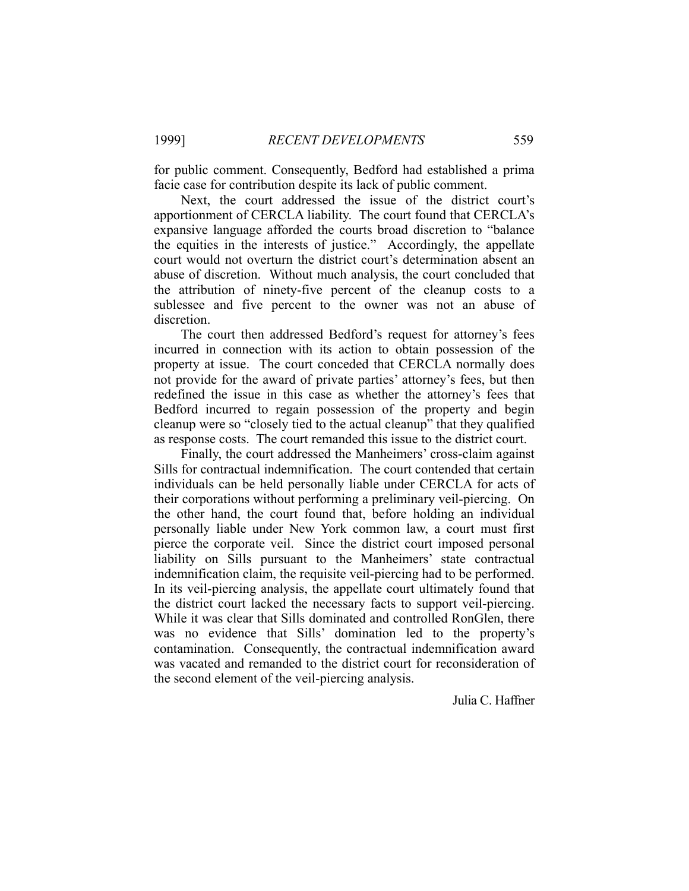for public comment. Consequently, Bedford had established a prima facie case for contribution despite its lack of public comment.

 Next, the court addressed the issue of the district court's apportionment of CERCLA liability. The court found that CERCLA's expansive language afforded the courts broad discretion to "balance the equities in the interests of justice." Accordingly, the appellate court would not overturn the district court's determination absent an abuse of discretion. Without much analysis, the court concluded that the attribution of ninety-five percent of the cleanup costs to a sublessee and five percent to the owner was not an abuse of discretion.

 The court then addressed Bedford's request for attorney's fees incurred in connection with its action to obtain possession of the property at issue. The court conceded that CERCLA normally does not provide for the award of private parties' attorney's fees, but then redefined the issue in this case as whether the attorney's fees that Bedford incurred to regain possession of the property and begin cleanup were so "closely tied to the actual cleanup" that they qualified as response costs. The court remanded this issue to the district court.

 Finally, the court addressed the Manheimers' cross-claim against Sills for contractual indemnification. The court contended that certain individuals can be held personally liable under CERCLA for acts of their corporations without performing a preliminary veil-piercing. On the other hand, the court found that, before holding an individual personally liable under New York common law, a court must first pierce the corporate veil. Since the district court imposed personal liability on Sills pursuant to the Manheimers' state contractual indemnification claim, the requisite veil-piercing had to be performed. In its veil-piercing analysis, the appellate court ultimately found that the district court lacked the necessary facts to support veil-piercing. While it was clear that Sills dominated and controlled RonGlen, there was no evidence that Sills' domination led to the property's contamination. Consequently, the contractual indemnification award was vacated and remanded to the district court for reconsideration of the second element of the veil-piercing analysis.

Julia C. Haffner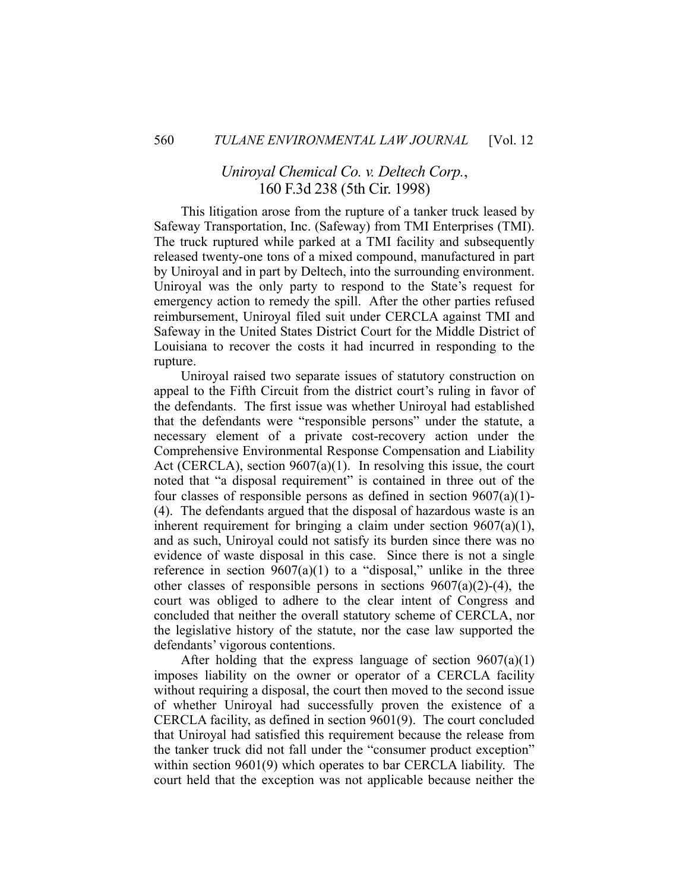## *Uniroyal Chemical Co. v. Deltech Corp.*, 160 F.3d 238 (5th Cir. 1998)

 This litigation arose from the rupture of a tanker truck leased by Safeway Transportation, Inc. (Safeway) from TMI Enterprises (TMI). The truck ruptured while parked at a TMI facility and subsequently released twenty-one tons of a mixed compound, manufactured in part by Uniroyal and in part by Deltech, into the surrounding environment. Uniroyal was the only party to respond to the State's request for emergency action to remedy the spill. After the other parties refused reimbursement, Uniroyal filed suit under CERCLA against TMI and Safeway in the United States District Court for the Middle District of Louisiana to recover the costs it had incurred in responding to the rupture.

 Uniroyal raised two separate issues of statutory construction on appeal to the Fifth Circuit from the district court's ruling in favor of the defendants. The first issue was whether Uniroyal had established that the defendants were "responsible persons" under the statute, a necessary element of a private cost-recovery action under the Comprehensive Environmental Response Compensation and Liability Act (CERCLA), section 9607(a)(1). In resolving this issue, the court noted that "a disposal requirement" is contained in three out of the four classes of responsible persons as defined in section  $9607(a)(1)$ -(4). The defendants argued that the disposal of hazardous waste is an inherent requirement for bringing a claim under section  $9607(a)(1)$ , and as such, Uniroyal could not satisfy its burden since there was no evidence of waste disposal in this case. Since there is not a single reference in section  $9607(a)(1)$  to a "disposal," unlike in the three other classes of responsible persons in sections  $9607(a)(2)$ -(4), the court was obliged to adhere to the clear intent of Congress and concluded that neither the overall statutory scheme of CERCLA, nor the legislative history of the statute, nor the case law supported the defendants' vigorous contentions.

 After holding that the express language of section 9607(a)(1) imposes liability on the owner or operator of a CERCLA facility without requiring a disposal, the court then moved to the second issue of whether Uniroyal had successfully proven the existence of a CERCLA facility, as defined in section 9601(9). The court concluded that Uniroyal had satisfied this requirement because the release from the tanker truck did not fall under the "consumer product exception" within section 9601(9) which operates to bar CERCLA liability. The court held that the exception was not applicable because neither the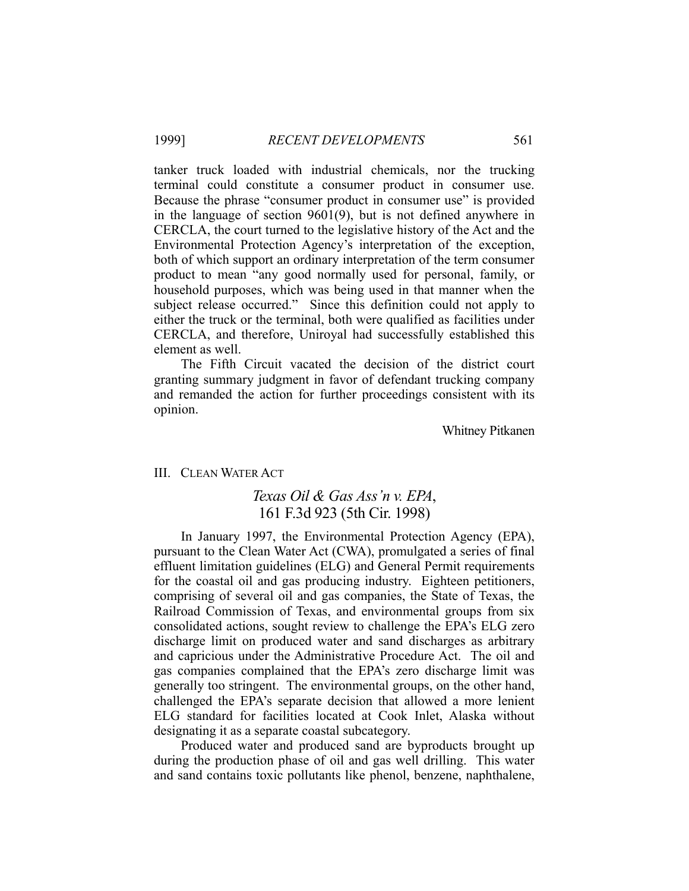tanker truck loaded with industrial chemicals, nor the trucking terminal could constitute a consumer product in consumer use. Because the phrase "consumer product in consumer use" is provided in the language of section 9601(9), but is not defined anywhere in CERCLA, the court turned to the legislative history of the Act and the Environmental Protection Agency's interpretation of the exception, both of which support an ordinary interpretation of the term consumer product to mean "any good normally used for personal, family, or household purposes, which was being used in that manner when the subject release occurred." Since this definition could not apply to either the truck or the terminal, both were qualified as facilities under CERCLA, and therefore, Uniroyal had successfully established this element as well.

 The Fifth Circuit vacated the decision of the district court granting summary judgment in favor of defendant trucking company and remanded the action for further proceedings consistent with its opinion.

Whitney Pitkanen

## III. CLEAN WATER ACT

## *Texas Oil & Gas Ass'n v. EPA*, 161 F.3d 923 (5th Cir. 1998)

 In January 1997, the Environmental Protection Agency (EPA), pursuant to the Clean Water Act (CWA), promulgated a series of final effluent limitation guidelines (ELG) and General Permit requirements for the coastal oil and gas producing industry. Eighteen petitioners, comprising of several oil and gas companies, the State of Texas, the Railroad Commission of Texas, and environmental groups from six consolidated actions, sought review to challenge the EPA's ELG zero discharge limit on produced water and sand discharges as arbitrary and capricious under the Administrative Procedure Act. The oil and gas companies complained that the EPA's zero discharge limit was generally too stringent. The environmental groups, on the other hand, challenged the EPA's separate decision that allowed a more lenient ELG standard for facilities located at Cook Inlet, Alaska without designating it as a separate coastal subcategory.

 Produced water and produced sand are byproducts brought up during the production phase of oil and gas well drilling. This water and sand contains toxic pollutants like phenol, benzene, naphthalene,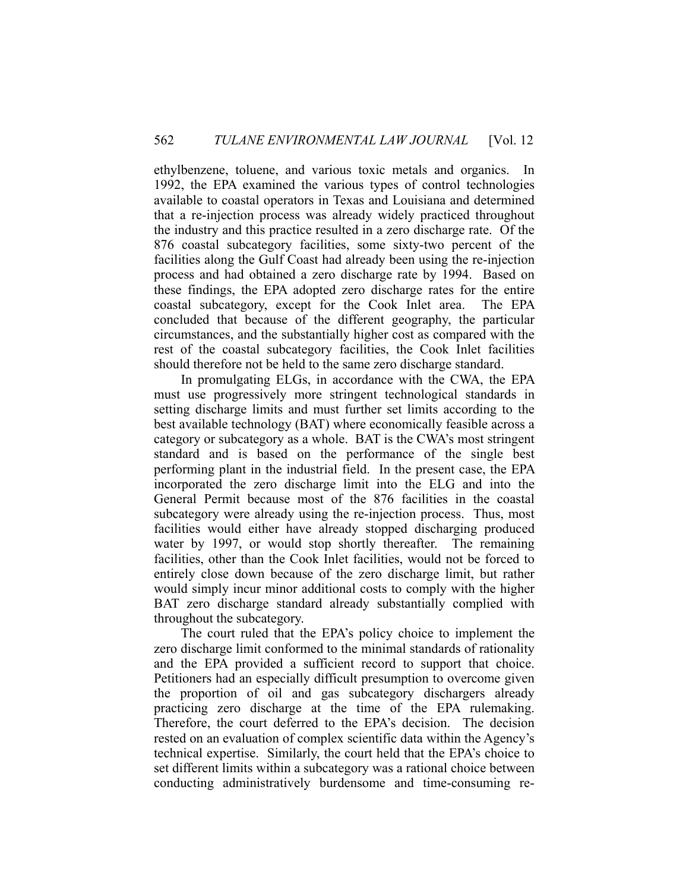ethylbenzene, toluene, and various toxic metals and organics. In 1992, the EPA examined the various types of control technologies available to coastal operators in Texas and Louisiana and determined that a re-injection process was already widely practiced throughout the industry and this practice resulted in a zero discharge rate. Of the 876 coastal subcategory facilities, some sixty-two percent of the facilities along the Gulf Coast had already been using the re-injection process and had obtained a zero discharge rate by 1994. Based on these findings, the EPA adopted zero discharge rates for the entire coastal subcategory, except for the Cook Inlet area. The EPA concluded that because of the different geography, the particular circumstances, and the substantially higher cost as compared with the rest of the coastal subcategory facilities, the Cook Inlet facilities should therefore not be held to the same zero discharge standard.

 In promulgating ELGs, in accordance with the CWA, the EPA must use progressively more stringent technological standards in setting discharge limits and must further set limits according to the best available technology (BAT) where economically feasible across a category or subcategory as a whole. BAT is the CWA's most stringent standard and is based on the performance of the single best performing plant in the industrial field. In the present case, the EPA incorporated the zero discharge limit into the ELG and into the General Permit because most of the 876 facilities in the coastal subcategory were already using the re-injection process. Thus, most facilities would either have already stopped discharging produced water by 1997, or would stop shortly thereafter. The remaining facilities, other than the Cook Inlet facilities, would not be forced to entirely close down because of the zero discharge limit, but rather would simply incur minor additional costs to comply with the higher BAT zero discharge standard already substantially complied with throughout the subcategory.

 The court ruled that the EPA's policy choice to implement the zero discharge limit conformed to the minimal standards of rationality and the EPA provided a sufficient record to support that choice. Petitioners had an especially difficult presumption to overcome given the proportion of oil and gas subcategory dischargers already practicing zero discharge at the time of the EPA rulemaking. Therefore, the court deferred to the EPA's decision. The decision rested on an evaluation of complex scientific data within the Agency's technical expertise. Similarly, the court held that the EPA's choice to set different limits within a subcategory was a rational choice between conducting administratively burdensome and time-consuming re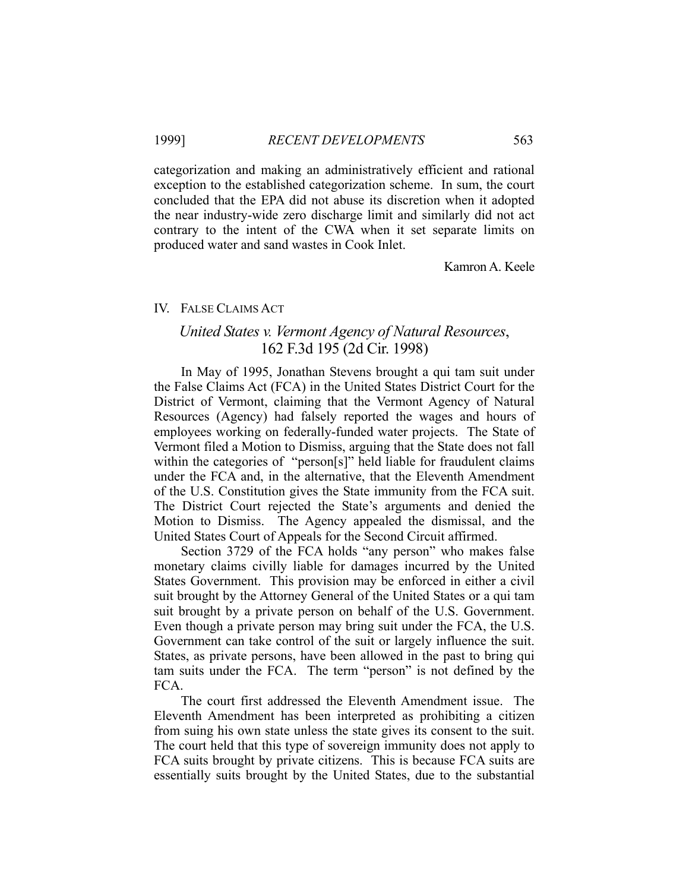categorization and making an administratively efficient and rational exception to the established categorization scheme. In sum, the court concluded that the EPA did not abuse its discretion when it adopted the near industry-wide zero discharge limit and similarly did not act contrary to the intent of the CWA when it set separate limits on produced water and sand wastes in Cook Inlet.

Kamron A. Keele

## IV. FALSE CLAIMS ACT

# *United States v. Vermont Agency of Natural Resources*, 162 F.3d 195 (2d Cir. 1998)

 In May of 1995, Jonathan Stevens brought a qui tam suit under the False Claims Act (FCA) in the United States District Court for the District of Vermont, claiming that the Vermont Agency of Natural Resources (Agency) had falsely reported the wages and hours of employees working on federally-funded water projects. The State of Vermont filed a Motion to Dismiss, arguing that the State does not fall within the categories of "person[s]" held liable for fraudulent claims under the FCA and, in the alternative, that the Eleventh Amendment of the U.S. Constitution gives the State immunity from the FCA suit. The District Court rejected the State's arguments and denied the Motion to Dismiss. The Agency appealed the dismissal, and the United States Court of Appeals for the Second Circuit affirmed.

 Section 3729 of the FCA holds "any person" who makes false monetary claims civilly liable for damages incurred by the United States Government. This provision may be enforced in either a civil suit brought by the Attorney General of the United States or a qui tam suit brought by a private person on behalf of the U.S. Government. Even though a private person may bring suit under the FCA, the U.S. Government can take control of the suit or largely influence the suit. States, as private persons, have been allowed in the past to bring qui tam suits under the FCA. The term "person" is not defined by the FCA.

 The court first addressed the Eleventh Amendment issue. The Eleventh Amendment has been interpreted as prohibiting a citizen from suing his own state unless the state gives its consent to the suit. The court held that this type of sovereign immunity does not apply to FCA suits brought by private citizens. This is because FCA suits are essentially suits brought by the United States, due to the substantial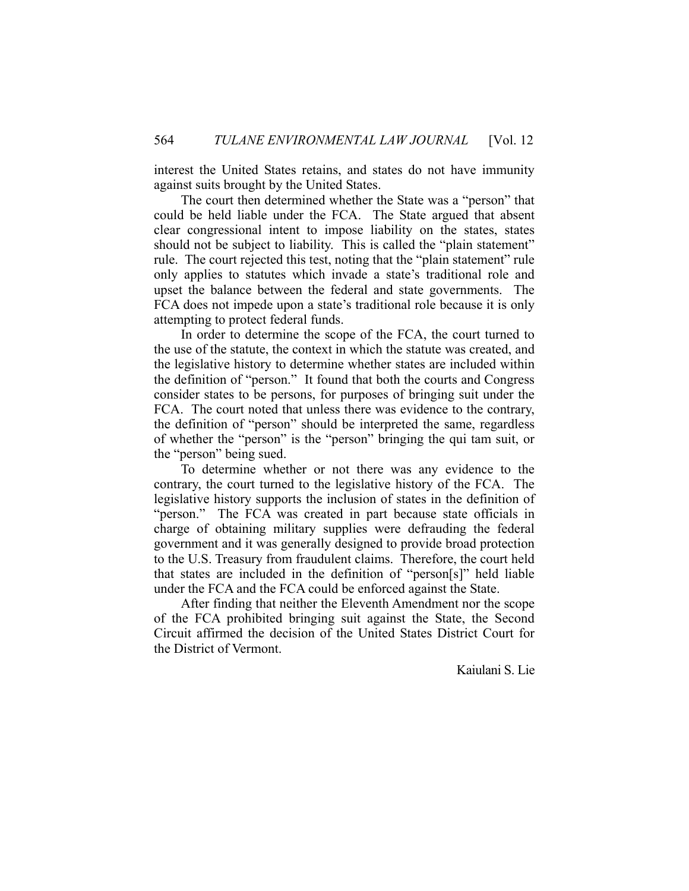interest the United States retains, and states do not have immunity against suits brought by the United States.

 The court then determined whether the State was a "person" that could be held liable under the FCA. The State argued that absent clear congressional intent to impose liability on the states, states should not be subject to liability. This is called the "plain statement" rule. The court rejected this test, noting that the "plain statement" rule only applies to statutes which invade a state's traditional role and upset the balance between the federal and state governments. The FCA does not impede upon a state's traditional role because it is only attempting to protect federal funds.

 In order to determine the scope of the FCA, the court turned to the use of the statute, the context in which the statute was created, and the legislative history to determine whether states are included within the definition of "person." It found that both the courts and Congress consider states to be persons, for purposes of bringing suit under the FCA. The court noted that unless there was evidence to the contrary, the definition of "person" should be interpreted the same, regardless of whether the "person" is the "person" bringing the qui tam suit, or the "person" being sued.

 To determine whether or not there was any evidence to the contrary, the court turned to the legislative history of the FCA. The legislative history supports the inclusion of states in the definition of "person." The FCA was created in part because state officials in charge of obtaining military supplies were defrauding the federal government and it was generally designed to provide broad protection to the U.S. Treasury from fraudulent claims. Therefore, the court held that states are included in the definition of "person[s]" held liable under the FCA and the FCA could be enforced against the State.

 After finding that neither the Eleventh Amendment nor the scope of the FCA prohibited bringing suit against the State, the Second Circuit affirmed the decision of the United States District Court for the District of Vermont.

Kaiulani S. Lie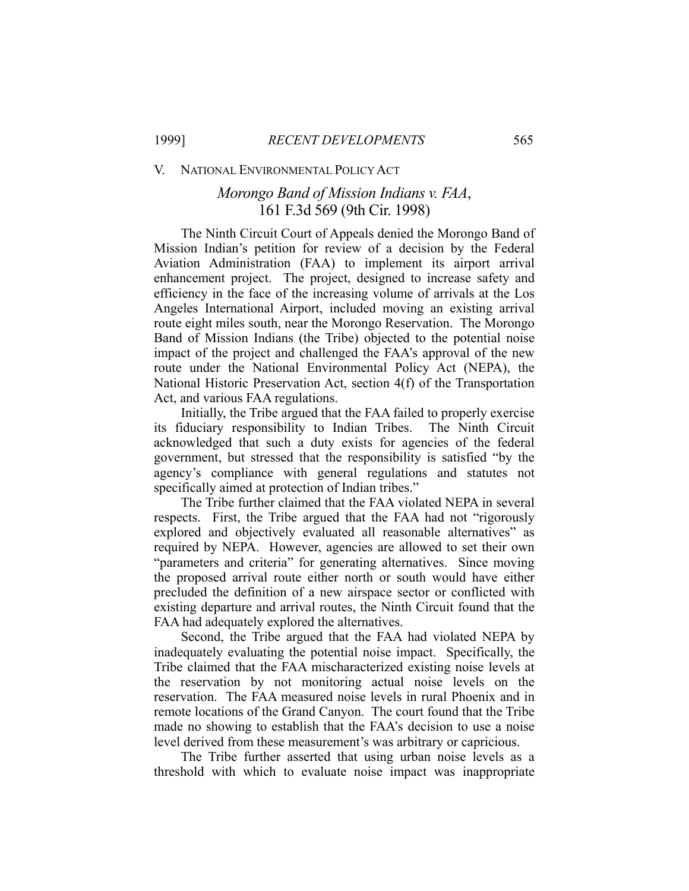#### V. NATIONAL ENVIRONMENTAL POLICY ACT

# *Morongo Band of Mission Indians v. FAA*, 161 F.3d 569 (9th Cir. 1998)

 The Ninth Circuit Court of Appeals denied the Morongo Band of Mission Indian's petition for review of a decision by the Federal Aviation Administration (FAA) to implement its airport arrival enhancement project. The project, designed to increase safety and efficiency in the face of the increasing volume of arrivals at the Los Angeles International Airport, included moving an existing arrival route eight miles south, near the Morongo Reservation. The Morongo Band of Mission Indians (the Tribe) objected to the potential noise impact of the project and challenged the FAA's approval of the new route under the National Environmental Policy Act (NEPA), the National Historic Preservation Act, section 4(f) of the Transportation Act, and various FAA regulations.

 Initially, the Tribe argued that the FAA failed to properly exercise its fiduciary responsibility to Indian Tribes. The Ninth Circuit acknowledged that such a duty exists for agencies of the federal government, but stressed that the responsibility is satisfied "by the agency's compliance with general regulations and statutes not specifically aimed at protection of Indian tribes."

 The Tribe further claimed that the FAA violated NEPA in several respects. First, the Tribe argued that the FAA had not "rigorously explored and objectively evaluated all reasonable alternatives" as required by NEPA. However, agencies are allowed to set their own "parameters and criteria" for generating alternatives. Since moving the proposed arrival route either north or south would have either precluded the definition of a new airspace sector or conflicted with existing departure and arrival routes, the Ninth Circuit found that the FAA had adequately explored the alternatives.

 Second, the Tribe argued that the FAA had violated NEPA by inadequately evaluating the potential noise impact. Specifically, the Tribe claimed that the FAA mischaracterized existing noise levels at the reservation by not monitoring actual noise levels on the reservation. The FAA measured noise levels in rural Phoenix and in remote locations of the Grand Canyon. The court found that the Tribe made no showing to establish that the FAA's decision to use a noise level derived from these measurement's was arbitrary or capricious.

 The Tribe further asserted that using urban noise levels as a threshold with which to evaluate noise impact was inappropriate